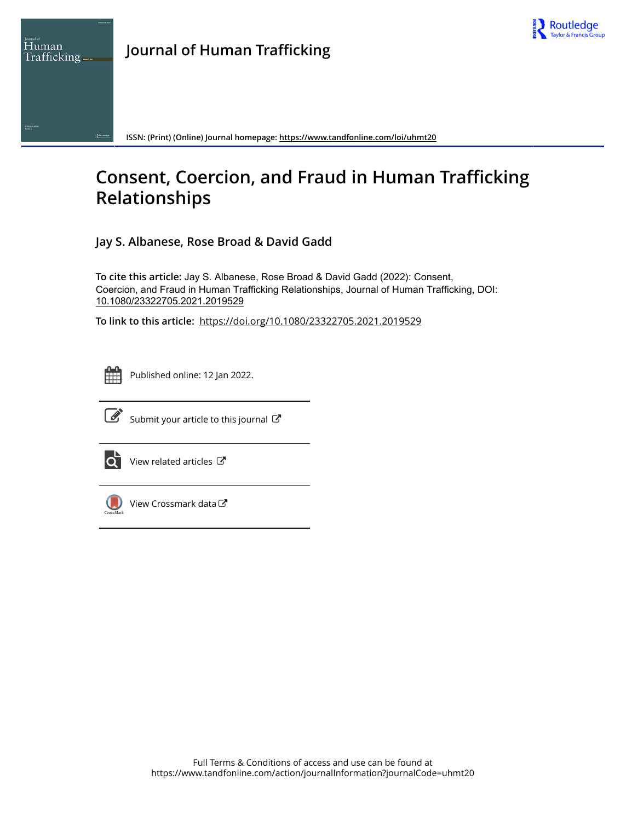

**ISSN: (Print) (Online) Journal homepage:<https://www.tandfonline.com/loi/uhmt20>**

# **Consent, Coercion, and Fraud in Human Trafficking Relationships**

**Jay S. Albanese, Rose Broad & David Gadd**

**To cite this article:** Jay S. Albanese, Rose Broad & David Gadd (2022): Consent, Coercion, and Fraud in Human Trafficking Relationships, Journal of Human Trafficking, DOI: [10.1080/23322705.2021.2019529](https://www.tandfonline.com/action/showCitFormats?doi=10.1080/23322705.2021.2019529)

**To link to this article:** <https://doi.org/10.1080/23322705.2021.2019529>



Human

Published online: 12 Jan 2022.



 $\overrightarrow{S}$  [Submit your article to this journal](https://www.tandfonline.com/action/authorSubmission?journalCode=uhmt20&show=instructions)  $\overrightarrow{S}$ 



[View related articles](https://www.tandfonline.com/doi/mlt/10.1080/23322705.2021.2019529)  $\mathbb{Z}$ 



[View Crossmark data](http://crossmark.crossref.org/dialog/?doi=10.1080/23322705.2021.2019529&domain=pdf&date_stamp=2022-01-12)<sup>C</sup>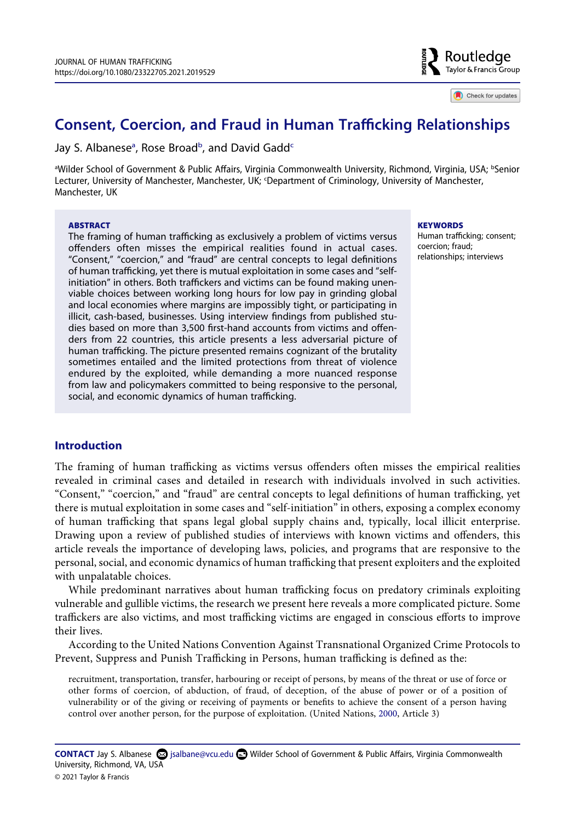

Check for updates

## **Consent, Coercion, and Fraud in Human Trafficking Relationships**

J[a](#page-1-0)y S. Al[b](#page-1-0)anese<sup>a</sup>, Rose Broad<sup>b</sup>, and David Gadd<sup>c</sup>

<span id="page-1-1"></span><span id="page-1-0"></span><sup>a</sup>Wilder School of Government & Public Affairs, Virginia Commonwealth University, Richmond, Virginia, USA; <sup>ь</sup>Senior Lecturer, University of Manchester, Manchester, UK; 'Department of Criminology, University of Manchester, Manchester, UK

### **ABSTRACT**

The framing of human trafficking as exclusively a problem of victims versus offenders often misses the empirical realities found in actual cases. "Consent," "coercion," and "fraud" are central concepts to legal definitions of human trafficking, yet there is mutual exploitation in some cases and "selfinitiation" in others. Both traffickers and victims can be found making unenviable choices between working long hours for low pay in grinding global and local economies where margins are impossibly tight, or participating in illicit, cash-based, businesses. Using interview findings from published studies based on more than 3,500 first-hand accounts from victims and offenders from 22 countries, this article presents a less adversarial picture of human trafficking. The picture presented remains cognizant of the brutality sometimes entailed and the limited protections from threat of violence endured by the exploited, while demanding a more nuanced response from law and policymakers committed to being responsive to the personal, social, and economic dynamics of human trafficking.

**KEYWORDS** 

Human trafficking; consent; coercion; fraud; relationships; interviews

### **Introduction**

The framing of human trafficking as victims versus offenders often misses the empirical realities revealed in criminal cases and detailed in research with individuals involved in such activities. "Consent," "coercion," and "fraud" are central concepts to legal definitions of human trafficking, yet there is mutual exploitation in some cases and "self-initiation" in others, exposing a complex economy of human trafficking that spans legal global supply chains and, typically, local illicit enterprise. Drawing upon a review of published studies of interviews with known victims and offenders, this article reveals the importance of developing laws, policies, and programs that are responsive to the personal, social, and economic dynamics of human trafficking that present exploiters and the exploited with unpalatable choices.

While predominant narratives about human trafficking focus on predatory criminals exploiting vulnerable and gullible victims, the research we present here reveals a more complicated picture. Some traffickers are also victims, and most trafficking victims are engaged in conscious efforts to improve their lives.

According to the United Nations Convention Against Transnational Organized Crime Protocols to Prevent, Suppress and Punish Trafficking in Persons, human trafficking is defined as the:

<span id="page-1-2"></span>recruitment, transportation, transfer, harbouring or receipt of persons, by means of the threat or use of force or other forms of coercion, of abduction, of fraud, of deception, of the abuse of power or of a position of vulnerability or of the giving or receiving of payments or benefits to achieve the consent of a person having control over another person, for the purpose of exploitation. (United Nations, [2000](#page-14-0), Article 3)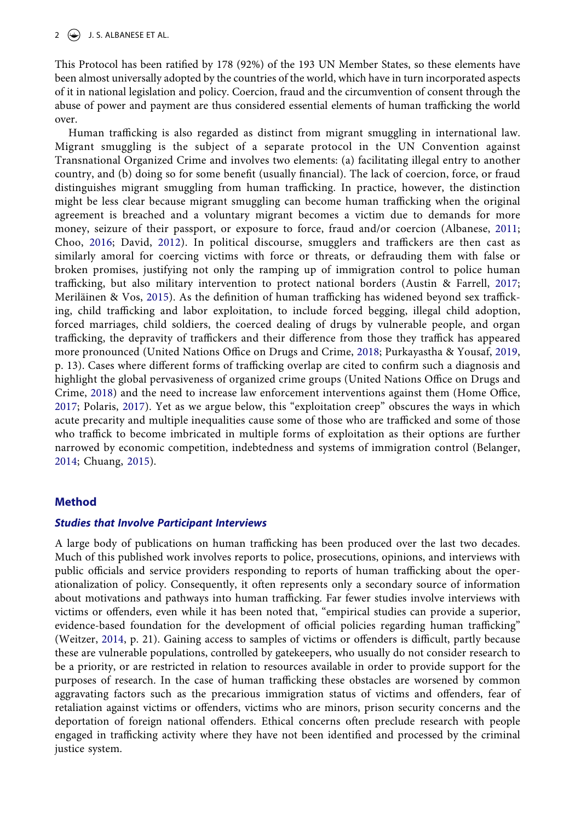This Protocol has been ratified by 178 (92%) of the 193 UN Member States, so these elements have been almost universally adopted by the countries of the world, which have in turn incorporated aspects of it in national legislation and policy. Coercion, fraud and the circumvention of consent through the abuse of power and payment are thus considered essential elements of human trafficking the world over.

<span id="page-2-6"></span><span id="page-2-3"></span><span id="page-2-1"></span><span id="page-2-0"></span>Human trafficking is also regarded as distinct from migrant smuggling in international law. Migrant smuggling is the subject of a separate protocol in the UN Convention against Transnational Organized Crime and involves two elements: (a) facilitating illegal entry to another country, and (b) doing so for some benefit (usually financial). The lack of coercion, force, or fraud distinguishes migrant smuggling from human trafficking. In practice, however, the distinction might be less clear because migrant smuggling can become human trafficking when the original agreement is breached and a voluntary migrant becomes a victim due to demands for more money, seizure of their passport, or exposure to force, fraud and/or coercion (Albanese, [2011;](#page-12-0) Choo, [2016](#page-12-1); David, [2012\)](#page-12-2). In political discourse, smugglers and traffickers are then cast as similarly amoral for coercing victims with force or threats, or defrauding them with false or broken promises, justifying not only the ramping up of immigration control to police human trafficking, but also military intervention to protect national borders (Austin & Farrell, [2017;](#page-12-3) Meriläinen & Vos, [2015](#page-13-0)). As the definition of human trafficking has widened beyond sex trafficking, child trafficking and labor exploitation, to include forced begging, illegal child adoption, forced marriages, child soldiers, the coerced dealing of drugs by vulnerable people, and organ trafficking, the depravity of traffickers and their difference from those they traffick has appeared more pronounced (United Nations Office on Drugs and Crime, [2018;](#page-14-1) Purkayastha & Yousaf, [2019,](#page-13-1) p. 13). Cases where different forms of trafficking overlap are cited to confirm such a diagnosis and highlight the global pervasiveness of organized crime groups (United Nations Office on Drugs and Crime, [2018](#page-14-1)) and the need to increase law enforcement interventions against them (Home Office, [2017;](#page-13-2) Polaris, [2017](#page-13-3)). Yet as we argue below, this "exploitation creep" obscures the ways in which acute precarity and multiple inequalities cause some of those who are trafficked and some of those who traffick to become imbricated in multiple forms of exploitation as their options are further narrowed by economic competition, indebtedness and systems of immigration control (Belanger, [2014;](#page-12-4) Chuang, [2015](#page-12-5)).

### <span id="page-2-8"></span><span id="page-2-7"></span><span id="page-2-5"></span><span id="page-2-4"></span><span id="page-2-2"></span>**Method**

### *Studies that Involve Participant Interviews*

<span id="page-2-9"></span>A large body of publications on human trafficking has been produced over the last two decades. Much of this published work involves reports to police, prosecutions, opinions, and interviews with public officials and service providers responding to reports of human trafficking about the operationalization of policy. Consequently, it often represents only a secondary source of information about motivations and pathways into human trafficking. Far fewer studies involve interviews with victims or offenders, even while it has been noted that, "empirical studies can provide a superior, evidence-based foundation for the development of official policies regarding human trafficking" (Weitzer, [2014,](#page-14-2) p. 21). Gaining access to samples of victims or offenders is difficult, partly because these are vulnerable populations, controlled by gatekeepers, who usually do not consider research to be a priority, or are restricted in relation to resources available in order to provide support for the purposes of research. In the case of human trafficking these obstacles are worsened by common aggravating factors such as the precarious immigration status of victims and offenders, fear of retaliation against victims or offenders, victims who are minors, prison security concerns and the deportation of foreign national offenders. Ethical concerns often preclude research with people engaged in trafficking activity where they have not been identified and processed by the criminal justice system.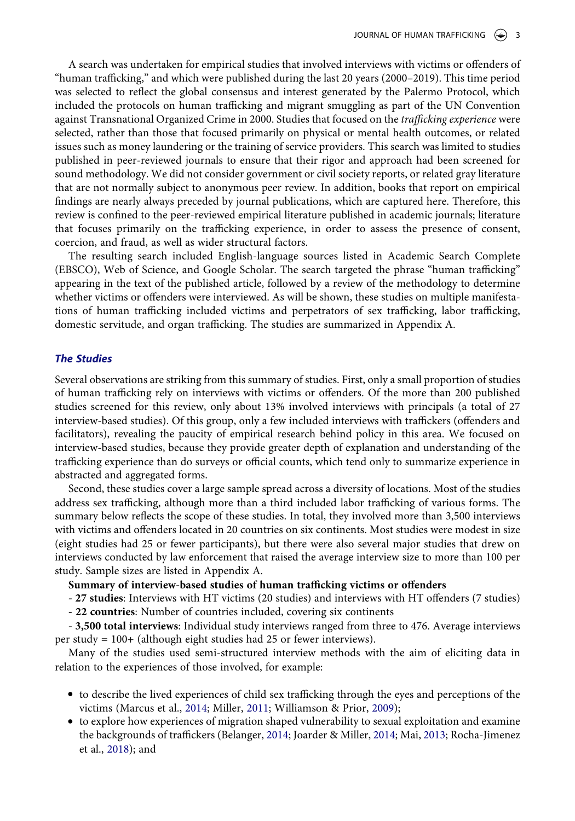A search was undertaken for empirical studies that involved interviews with victims or offenders of "human trafficking," and which were published during the last 20 years (2000–2019). This time period was selected to reflect the global consensus and interest generated by the Palermo Protocol, which included the protocols on human trafficking and migrant smuggling as part of the UN Convention against Transnational Organized Crime in 2000. Studies that focused on the *trafficking experience* were selected, rather than those that focused primarily on physical or mental health outcomes, or related issues such as money laundering or the training of service providers. This search was limited to studies published in peer-reviewed journals to ensure that their rigor and approach had been screened for sound methodology. We did not consider government or civil society reports, or related gray literature that are not normally subject to anonymous peer review. In addition, books that report on empirical findings are nearly always preceded by journal publications, which are captured here. Therefore, this review is confined to the peer-reviewed empirical literature published in academic journals; literature that focuses primarily on the trafficking experience, in order to assess the presence of consent, coercion, and fraud, as well as wider structural factors.

The resulting search included English-language sources listed in Academic Search Complete (EBSCO), Web of Science, and Google Scholar. The search targeted the phrase "human trafficking" appearing in the text of the published article, followed by a review of the methodology to determine whether victims or offenders were interviewed. As will be shown, these studies on multiple manifestations of human trafficking included victims and perpetrators of sex trafficking, labor trafficking, domestic servitude, and organ trafficking. The studies are summarized in Appendix A.

### *The Studies*

Several observations are striking from this summary of studies. First, only a small proportion of studies of human trafficking rely on interviews with victims or offenders. Of the more than 200 published studies screened for this review, only about 13% involved interviews with principals (a total of 27 interview-based studies). Of this group, only a few included interviews with traffickers (offenders and facilitators), revealing the paucity of empirical research behind policy in this area. We focused on interview-based studies, because they provide greater depth of explanation and understanding of the trafficking experience than do surveys or official counts, which tend only to summarize experience in abstracted and aggregated forms.

Second, these studies cover a large sample spread across a diversity of locations. Most of the studies address sex trafficking, although more than a third included labor trafficking of various forms. The summary below reflects the scope of these studies. In total, they involved more than 3,500 interviews with victims and offenders located in 20 countries on six continents. Most studies were modest in size (eight studies had 25 or fewer participants), but there were also several major studies that drew on interviews conducted by law enforcement that raised the average interview size to more than 100 per study. Sample sizes are listed in Appendix A.

### **Summary of interview-based studies of human trafficking victims or offenders**

**- 27 studies**: Interviews with HT victims (20 studies) and interviews with HT offenders (7 studies)

**- 22 countries**: Number of countries included, covering six continents

**- 3,500 total interviews**: Individual study interviews ranged from three to 476. Average interviews per study = 100+ (although eight studies had 25 or fewer interviews).

Many of the studies used semi-structured interview methods with the aim of eliciting data in relation to the experiences of those involved, for example:

- <span id="page-3-1"></span>● to describe the lived experiences of child sex trafficking through the eyes and perceptions of the victims (Marcus et al., [2014](#page-13-4); Miller, [2011](#page-13-5); Williamson & Prior, [2009](#page-14-3));
- <span id="page-3-2"></span><span id="page-3-0"></span>● to explore how experiences of migration shaped vulnerability to sexual exploitation and examine the backgrounds of traffickers (Belanger, [2014;](#page-12-4) Joarder & Miller, [2014](#page-13-6); Mai, [2013](#page-13-7); Rocha-Jimenez et al., [2018](#page-13-8)); and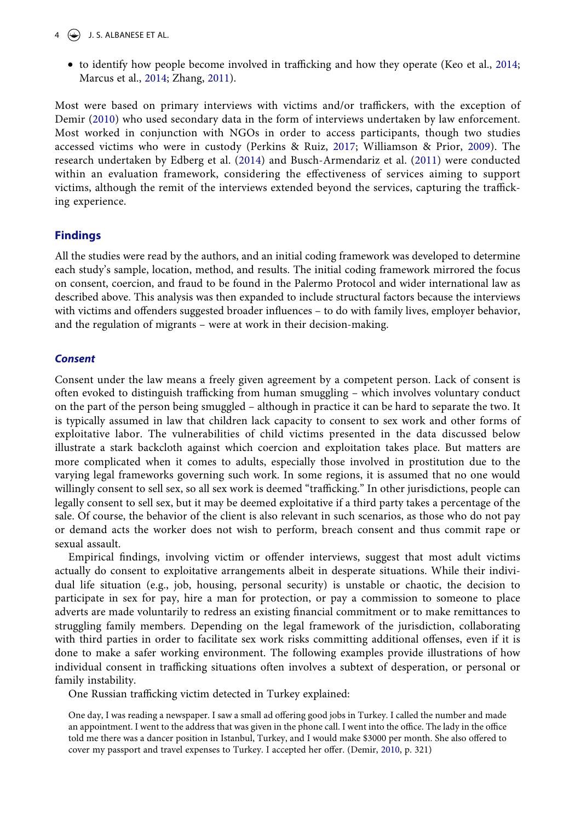- <span id="page-4-2"></span> $4 \quad (*)$  J. S. ALBANESE ET AL.
	- to identify how people become involved in trafficking and how they operate (Keo et al., [2014;](#page-13-9) Marcus et al., [2014](#page-13-4); Zhang, [2011](#page-14-4)).

<span id="page-4-4"></span><span id="page-4-3"></span><span id="page-4-0"></span>Most were based on primary interviews with victims and/or traffickers, with the exception of Demir [\(2010\)](#page-12-6) who used secondary data in the form of interviews undertaken by law enforcement. Most worked in conjunction with NGOs in order to access participants, though two studies accessed victims who were in custody (Perkins & Ruiz, [2017;](#page-13-10) Williamson & Prior, [2009\)](#page-14-3). The research undertaken by Edberg et al. [\(2014\)](#page-13-11) and Busch-Armendariz et al. ([2011](#page-12-7)) were conducted within an evaluation framework, considering the effectiveness of services aiming to support victims, although the remit of the interviews extended beyond the services, capturing the trafficking experience.

### **Findings**

All the studies were read by the authors, and an initial coding framework was developed to determine each study's sample, location, method, and results. The initial coding framework mirrored the focus on consent, coercion, and fraud to be found in the Palermo Protocol and wider international law as described above. This analysis was then expanded to include structural factors because the interviews with victims and offenders suggested broader influences – to do with family lives, employer behavior, and the regulation of migrants – were at work in their decision-making.

### *Consent*

Consent under the law means a freely given agreement by a competent person. Lack of consent is often evoked to distinguish trafficking from human smuggling – which involves voluntary conduct on the part of the person being smuggled – although in practice it can be hard to separate the two. It is typically assumed in law that children lack capacity to consent to sex work and other forms of exploitative labor. The vulnerabilities of child victims presented in the data discussed below illustrate a stark backcloth against which coercion and exploitation takes place. But matters are more complicated when it comes to adults, especially those involved in prostitution due to the varying legal frameworks governing such work. In some regions, it is assumed that no one would willingly consent to sell sex, so all sex work is deemed "trafficking." In other jurisdictions, people can legally consent to sell sex, but it may be deemed exploitative if a third party takes a percentage of the sale. Of course, the behavior of the client is also relevant in such scenarios, as those who do not pay or demand acts the worker does not wish to perform, breach consent and thus commit rape or sexual assault.

Empirical findings, involving victim or offender interviews, suggest that most adult victims actually do consent to exploitative arrangements albeit in desperate situations. While their individual life situation (e.g., job, housing, personal security) is unstable or chaotic, the decision to participate in sex for pay, hire a man for protection, or pay a commission to someone to place adverts are made voluntarily to redress an existing financial commitment or to make remittances to struggling family members. Depending on the legal framework of the jurisdiction, collaborating with third parties in order to facilitate sex work risks committing additional offenses, even if it is done to make a safer working environment. The following examples provide illustrations of how individual consent in trafficking situations often involves a subtext of desperation, or personal or family instability.

One Russian trafficking victim detected in Turkey explained:

<span id="page-4-1"></span>One day, I was reading a newspaper. I saw a small ad offering good jobs in Turkey. I called the number and made an appointment. I went to the address that was given in the phone call. I went into the office. The lady in the office told me there was a dancer position in Istanbul, Turkey, and I would make \$3000 per month. She also offered to cover my passport and travel expenses to Turkey. I accepted her offer. (Demir, [2010](#page-12-6), p. 321)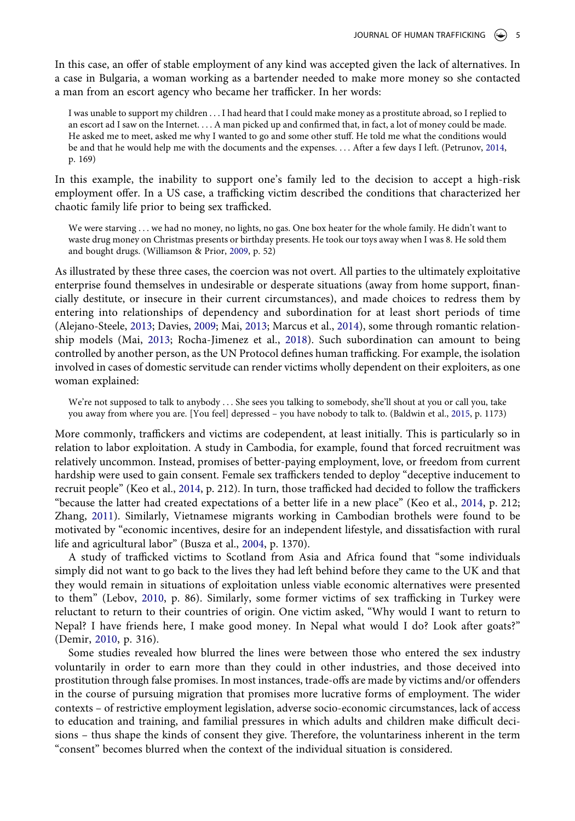In this case, an offer of stable employment of any kind was accepted given the lack of alternatives. In a case in Bulgaria, a woman working as a bartender needed to make more money so she contacted a man from an escort agency who became her trafficker. In her words:

<span id="page-5-4"></span>I was unable to support my children . . . I had heard that I could make money as a prostitute abroad, so I replied to an escort ad I saw on the Internet. . . . A man picked up and confirmed that, in fact, a lot of money could be made. He asked me to meet, asked me why I wanted to go and some other stuff. He told me what the conditions would be and that he would help me with the documents and the expenses. . . . After a few days I left. (Petrunov, [2014](#page-13-12), p. 169)

In this example, the inability to support one's family led to the decision to accept a high-risk employment offer. In a US case, a trafficking victim described the conditions that characterized her chaotic family life prior to being sex trafficked.

We were starving . . . we had no money, no lights, no gas. One box heater for the whole family. He didn't want to waste drug money on Christmas presents or birthday presents. He took our toys away when I was 8. He sold them and bought drugs. (Williamson & Prior, [2009](#page-14-3), p. 52)

<span id="page-5-0"></span>As illustrated by these three cases, the coercion was not overt. All parties to the ultimately exploitative enterprise found themselves in undesirable or desperate situations (away from home support, financially destitute, or insecure in their current circumstances), and made choices to redress them by entering into relationships of dependency and subordination for at least short periods of time (Alejano-Steele, [2013](#page-12-8); Davies, [2009](#page-12-9); Mai, [2013](#page-13-7); Marcus et al., [2014\)](#page-13-4), some through romantic relationship models (Mai, [2013](#page-13-7); Rocha-Jimenez et al., [2018](#page-13-8)). Such subordination can amount to being controlled by another person, as the UN Protocol defines human trafficking. For example, the isolation involved in cases of domestic servitude can render victims wholly dependent on their exploiters, as one woman explained:

<span id="page-5-1"></span>We're not supposed to talk to anybody . . . She sees you talking to somebody, she'll shout at you or call you, take you away from where you are. [You feel] depressed – you have nobody to talk to. (Baldwin et al., [2015,](#page-12-10) p. 1173)

More commonly, traffickers and victims are codependent, at least initially. This is particularly so in relation to labor exploitation. A study in Cambodia, for example, found that forced recruitment was relatively uncommon. Instead, promises of better-paying employment, love, or freedom from current hardship were used to gain consent. Female sex traffickers tended to deploy "deceptive inducement to recruit people" (Keo et al., [2014,](#page-13-9) p. 212). In turn, those trafficked had decided to follow the traffickers "because the latter had created expectations of a better life in a new place" (Keo et al., [2014](#page-13-9), p. 212; Zhang, [2011\)](#page-14-4). Similarly, Vietnamese migrants working in Cambodian brothels were found to be motivated by "economic incentives, desire for an independent lifestyle, and dissatisfaction with rural life and agricultural labor" (Busza et al., [2004](#page-12-11), p. 1370).

<span id="page-5-3"></span><span id="page-5-2"></span>A study of trafficked victims to Scotland from Asia and Africa found that "some individuals simply did not want to go back to the lives they had left behind before they came to the UK and that they would remain in situations of exploitation unless viable economic alternatives were presented to them" (Lebov, [2010,](#page-13-13) p. 86). Similarly, some former victims of sex trafficking in Turkey were reluctant to return to their countries of origin. One victim asked, "Why would I want to return to Nepal? I have friends here, I make good money. In Nepal what would I do? Look after goats?" (Demir, [2010,](#page-12-6) p. 316).

Some studies revealed how blurred the lines were between those who entered the sex industry voluntarily in order to earn more than they could in other industries, and those deceived into prostitution through false promises. In most instances, trade-offs are made by victims and/or offenders in the course of pursuing migration that promises more lucrative forms of employment. The wider contexts – of restrictive employment legislation, adverse socio-economic circumstances, lack of access to education and training, and familial pressures in which adults and children make difficult decisions – thus shape the kinds of consent they give. Therefore, the voluntariness inherent in the term "consent" becomes blurred when the context of the individual situation is considered.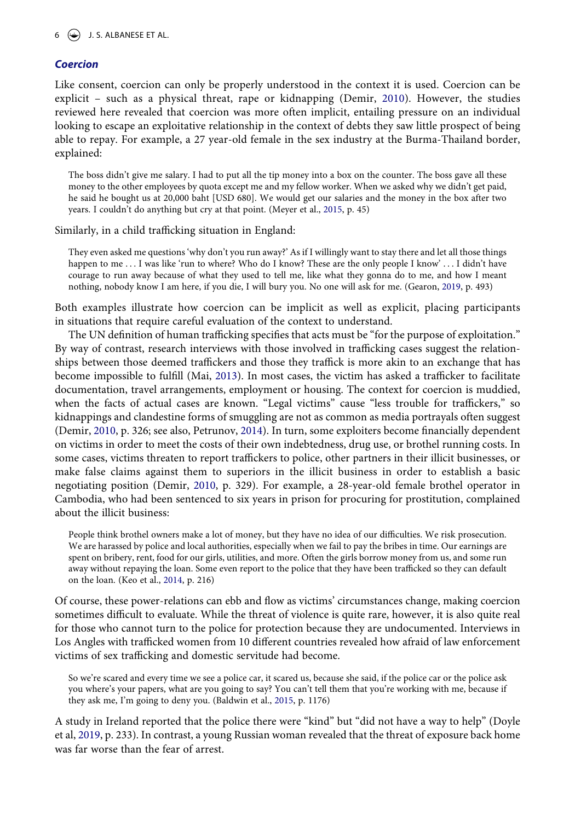### *Coercion*

Like consent, coercion can only be properly understood in the context it is used. Coercion can be explicit – such as a physical threat, rape or kidnapping (Demir, [2010\)](#page-12-6). However, the studies reviewed here revealed that coercion was more often implicit, entailing pressure on an individual looking to escape an exploitative relationship in the context of debts they saw little prospect of being able to repay. For example, a 27 year-old female in the sex industry at the Burma-Thailand border, explained:

The boss didn't give me salary. I had to put all the tip money into a box on the counter. The boss gave all these money to the other employees by quota except me and my fellow worker. When we asked why we didn't get paid, he said he bought us at 20,000 baht [USD 680]. We would get our salaries and the money in the box after two years. I couldn't do anything but cry at that point. (Meyer et al., [2015,](#page-13-14) p. 45)

<span id="page-6-2"></span>Similarly, in a child trafficking situation in England:

They even asked me questions 'why don't you run away?' As if I willingly want to stay there and let all those things happen to me ... I was like 'run to where? Who do I know? These are the only people I know' ... I didn't have courage to run away because of what they used to tell me, like what they gonna do to me, and how I meant nothing, nobody know I am here, if you die, I will bury you. No one will ask for me. (Gearon, [2019,](#page-13-15) p. 493)

<span id="page-6-1"></span>Both examples illustrate how coercion can be implicit as well as explicit, placing participants in situations that require careful evaluation of the context to understand.

The UN definition of human trafficking specifies that acts must be "for the purpose of exploitation." By way of contrast, research interviews with those involved in trafficking cases suggest the relationships between those deemed traffickers and those they traffick is more akin to an exchange that has become impossible to fulfill (Mai, [2013\)](#page-13-7). In most cases, the victim has asked a trafficker to facilitate documentation, travel arrangements, employment or housing. The context for coercion is muddied, when the facts of actual cases are known. "Legal victims" cause "less trouble for traffickers," so kidnappings and clandestine forms of smuggling are not as common as media portrayals often suggest (Demir, [2010](#page-12-6), p. 326; see also, Petrunov, [2014](#page-13-12)). In turn, some exploiters become financially dependent on victims in order to meet the costs of their own indebtedness, drug use, or brothel running costs. In some cases, victims threaten to report traffickers to police, other partners in their illicit businesses, or make false claims against them to superiors in the illicit business in order to establish a basic negotiating position (Demir, [2010,](#page-12-6) p. 329). For example, a 28-year-old female brothel operator in Cambodia, who had been sentenced to six years in prison for procuring for prostitution, complained about the illicit business:

People think brothel owners make a lot of money, but they have no idea of our difficulties. We risk prosecution. We are harassed by police and local authorities, especially when we fail to pay the bribes in time. Our earnings are spent on bribery, rent, food for our girls, utilities, and more. Often the girls borrow money from us, and some run away without repaying the loan. Some even report to the police that they have been trafficked so they can default on the loan. (Keo et al., [2014,](#page-13-9) p. 216)

Of course, these power-relations can ebb and flow as victims' circumstances change, making coercion sometimes difficult to evaluate. While the threat of violence is quite rare, however, it is also quite real for those who cannot turn to the police for protection because they are undocumented. Interviews in Los Angles with trafficked women from 10 different countries revealed how afraid of law enforcement victims of sex trafficking and domestic servitude had become.

So we're scared and every time we see a police car, it scared us, because she said, if the police car or the police ask you where's your papers, what are you going to say? You can't tell them that you're working with me, because if they ask me, I'm going to deny you. (Baldwin et al., [2015,](#page-12-10) p. 1176)

<span id="page-6-0"></span>A study in Ireland reported that the police there were "kind" but "did not have a way to help" (Doyle et al, [2019,](#page-12-12) p. 233). In contrast, a young Russian woman revealed that the threat of exposure back home was far worse than the fear of arrest.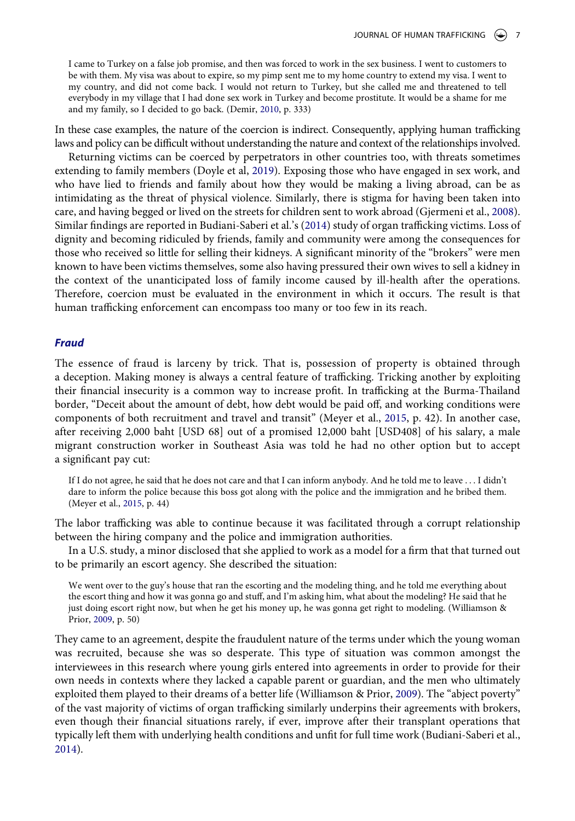I came to Turkey on a false job promise, and then was forced to work in the sex business. I went to customers to be with them. My visa was about to expire, so my pimp sent me to my home country to extend my visa. I went to my country, and did not come back. I would not return to Turkey, but she called me and threatened to tell everybody in my village that I had done sex work in Turkey and become prostitute. It would be a shame for me and my family, so I decided to go back. (Demir, [2010](#page-12-6), p. 333)

In these case examples, the nature of the coercion is indirect. Consequently, applying human trafficking laws and policy can be difficult without understanding the nature and context of the relationships involved.

<span id="page-7-1"></span>Returning victims can be coerced by perpetrators in other countries too, with threats sometimes extending to family members (Doyle et al, [2019](#page-12-12)). Exposing those who have engaged in sex work, and who have lied to friends and family about how they would be making a living abroad, can be as intimidating as the threat of physical violence. Similarly, there is stigma for having been taken into care, and having begged or lived on the streets for children sent to work abroad (Gjermeni et al., [2008](#page-13-16)). Similar findings are reported in Budiani-Saberi et al.'s [\(2014](#page-12-13)) study of organ trafficking victims. Loss of dignity and becoming ridiculed by friends, family and community were among the consequences for those who received so little for selling their kidneys. A significant minority of the "brokers" were men known to have been victims themselves, some also having pressured their own wives to sell a kidney in the context of the unanticipated loss of family income caused by ill-health after the operations. Therefore, coercion must be evaluated in the environment in which it occurs. The result is that human trafficking enforcement can encompass too many or too few in its reach.

### *Fraud*

The essence of fraud is larceny by trick. That is, possession of property is obtained through a deception. Making money is always a central feature of trafficking. Tricking another by exploiting their financial insecurity is a common way to increase profit. In trafficking at the Burma-Thailand border, "Deceit about the amount of debt, how debt would be paid off, and working conditions were components of both recruitment and travel and transit" (Meyer et al., [2015](#page-13-14), p. 42). In another case, after receiving 2,000 baht [USD 68] out of a promised 12,000 baht [USD408] of his salary, a male migrant construction worker in Southeast Asia was told he had no other option but to accept a significant pay cut:

If I do not agree, he said that he does not care and that I can inform anybody. And he told me to leave . . . I didn't dare to inform the police because this boss got along with the police and the immigration and he bribed them. (Meyer et al., [2015](#page-13-14), p. 44)

The labor trafficking was able to continue because it was facilitated through a corrupt relationship between the hiring company and the police and immigration authorities.

In a U.S. study, a minor disclosed that she applied to work as a model for a firm that that turned out to be primarily an escort agency. She described the situation:

We went over to the guy's house that ran the escorting and the modeling thing, and he told me everything about the escort thing and how it was gonna go and stuff, and I'm asking him, what about the modeling? He said that he just doing escort right now, but when he get his money up, he was gonna get right to modeling. (Williamson & Prior, [2009](#page-14-3), p. 50)

<span id="page-7-0"></span>They came to an agreement, despite the fraudulent nature of the terms under which the young woman was recruited, because she was so desperate. This type of situation was common amongst the interviewees in this research where young girls entered into agreements in order to provide for their own needs in contexts where they lacked a capable parent or guardian, and the men who ultimately exploited them played to their dreams of a better life (Williamson & Prior, [2009\)](#page-14-3). The "abject poverty" of the vast majority of victims of organ trafficking similarly underpins their agreements with brokers, even though their financial situations rarely, if ever, improve after their transplant operations that typically left them with underlying health conditions and unfit for full time work (Budiani-Saberi et al., [2014](#page-12-13)).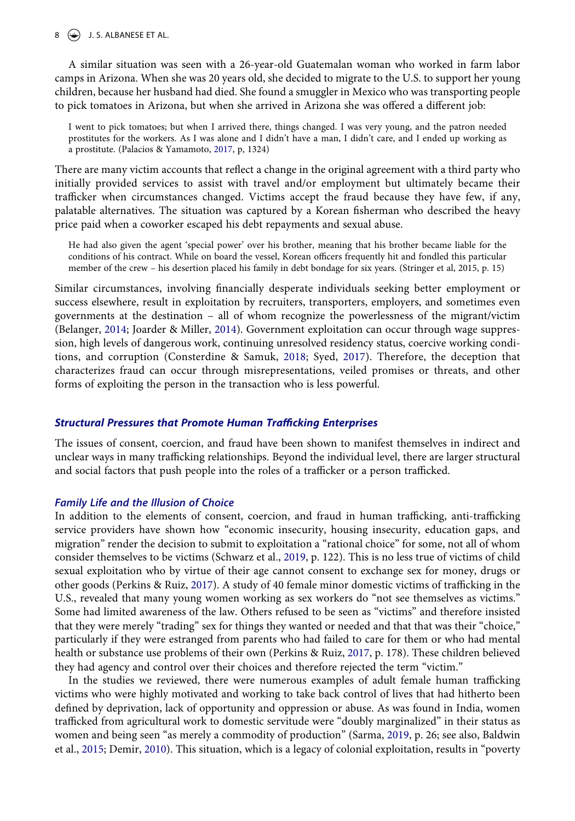### $8 \leftrightarrow$  J. S. ALBANESE ET AL.

A similar situation was seen with a 26-year-old Guatemalan woman who worked in farm labor camps in Arizona. When she was 20 years old, she decided to migrate to the U.S. to support her young children, because her husband had died. She found a smuggler in Mexico who was transporting people to pick tomatoes in Arizona, but when she arrived in Arizona she was offered a different job:

<span id="page-8-1"></span>I went to pick tomatoes; but when I arrived there, things changed. I was very young, and the patron needed prostitutes for the workers. As I was alone and I didn't have a man, I didn't care, and I ended up working as a prostitute. (Palacios & Yamamoto, [2017,](#page-13-17) p, 1324)

There are many victim accounts that reflect a change in the original agreement with a third party who initially provided services to assist with travel and/or employment but ultimately became their trafficker when circumstances changed. Victims accept the fraud because they have few, if any, palatable alternatives. The situation was captured by a Korean fisherman who described the heavy price paid when a coworker escaped his debt repayments and sexual abuse.

He had also given the agent 'special power' over his brother, meaning that his brother became liable for the conditions of his contract. While on board the vessel, Korean officers frequently hit and fondled this particular member of the crew – his desertion placed his family in debt bondage for six years. (Stringer et al, 2015, p. 15)

<span id="page-8-0"></span>Similar circumstances, involving financially desperate individuals seeking better employment or success elsewhere, result in exploitation by recruiters, transporters, employers, and sometimes even governments at the destination – all of whom recognize the powerlessness of the migrant/victim (Belanger, [2014;](#page-12-4) Joarder & Miller, [2014](#page-13-6)). Government exploitation can occur through wage suppression, high levels of dangerous work, continuing unresolved residency status, coercive working conditions, and corruption (Consterdine & Samuk, [2018](#page-12-14); Syed, [2017](#page-14-5)). Therefore, the deception that characterizes fraud can occur through misrepresentations, veiled promises or threats, and other forms of exploiting the person in the transaction who is less powerful.

### *Structural Pressures that Promote Human Trafficking Enterprises*

The issues of consent, coercion, and fraud have been shown to manifest themselves in indirect and unclear ways in many trafficking relationships. Beyond the individual level, there are larger structural and social factors that push people into the roles of a trafficker or a person trafficked.

### *Family Life and the Illusion of Choice*

<span id="page-8-3"></span>In addition to the elements of consent, coercion, and fraud in human trafficking, anti-trafficking service providers have shown how "economic insecurity, housing insecurity, education gaps, and migration" render the decision to submit to exploitation a "rational choice" for some, not all of whom consider themselves to be victims (Schwarz et al., [2019,](#page-13-18) p. 122). This is no less true of victims of child sexual exploitation who by virtue of their age cannot consent to exchange sex for money, drugs or other goods (Perkins & Ruiz, [2017\)](#page-13-10). A study of 40 female minor domestic victims of trafficking in the U.S., revealed that many young women working as sex workers do "not see themselves as victims." Some had limited awareness of the law. Others refused to be seen as "victims" and therefore insisted that they were merely "trading" sex for things they wanted or needed and that that was their "choice," particularly if they were estranged from parents who had failed to care for them or who had mental health or substance use problems of their own (Perkins & Ruiz, [2017,](#page-13-10) p. 178). These children believed they had agency and control over their choices and therefore rejected the term "victim."

<span id="page-8-2"></span>In the studies we reviewed, there were numerous examples of adult female human trafficking victims who were highly motivated and working to take back control of lives that had hitherto been defined by deprivation, lack of opportunity and oppression or abuse. As was found in India, women trafficked from agricultural work to domestic servitude were "doubly marginalized" in their status as women and being seen "as merely a commodity of production" (Sarma, [2019,](#page-13-19) p. 26; see also, Baldwin et al., [2015;](#page-12-10) Demir, [2010\)](#page-12-6). This situation, which is a legacy of colonial exploitation, results in "poverty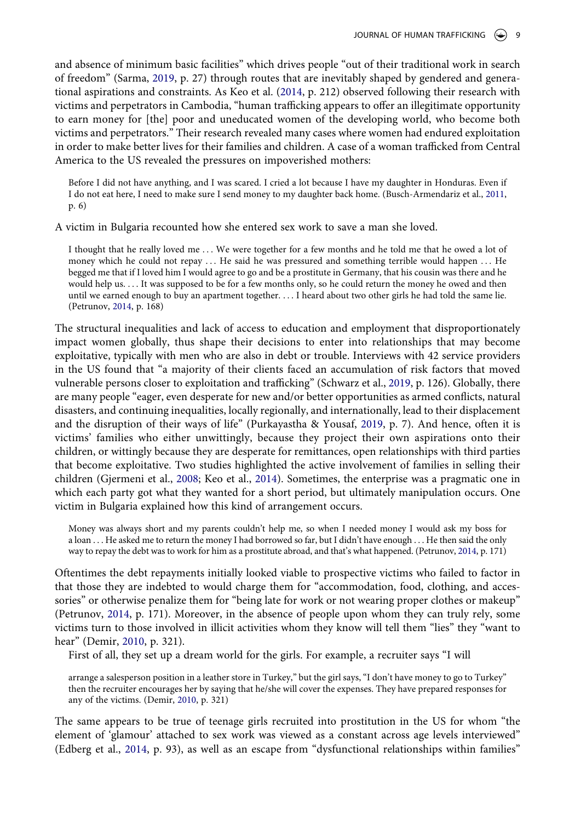and absence of minimum basic facilities" which drives people "out of their traditional work in search of freedom" (Sarma, [2019,](#page-13-19) p. 27) through routes that are inevitably shaped by gendered and generational aspirations and constraints. As Keo et al. ([2014,](#page-13-9) p. 212) observed following their research with victims and perpetrators in Cambodia, "human trafficking appears to offer an illegitimate opportunity to earn money for [the] poor and uneducated women of the developing world, who become both victims and perpetrators." Their research revealed many cases where women had endured exploitation in order to make better lives for their families and children. A case of a woman trafficked from Central America to the US revealed the pressures on impoverished mothers:

Before I did not have anything, and I was scared. I cried a lot because I have my daughter in Honduras. Even if I do not eat here, I need to make sure I send money to my daughter back home. (Busch-Armendariz et al., [2011](#page-12-7), p. 6)

A victim in Bulgaria recounted how she entered sex work to save a man she loved.

I thought that he really loved me ... We were together for a few months and he told me that he owed a lot of money which he could not repay . . . He said he was pressured and something terrible would happen . . . He begged me that if I loved him I would agree to go and be a prostitute in Germany, that his cousin was there and he would help us. . . . It was supposed to be for a few months only, so he could return the money he owed and then until we earned enough to buy an apartment together. . . . I heard about two other girls he had told the same lie. (Petrunov, [2014](#page-13-12), p. 168)

The structural inequalities and lack of access to education and employment that disproportionately impact women globally, thus shape their decisions to enter into relationships that may become exploitative, typically with men who are also in debt or trouble. Interviews with 42 service providers in the US found that "a majority of their clients faced an accumulation of risk factors that moved vulnerable persons closer to exploitation and trafficking" (Schwarz et al., [2019,](#page-13-18) p. 126). Globally, there are many people "eager, even desperate for new and/or better opportunities as armed conflicts, natural disasters, and continuing inequalities, locally regionally, and internationally, lead to their displacement and the disruption of their ways of life" (Purkayastha & Yousaf, [2019,](#page-13-1) p. 7). And hence, often it is victims' families who either unwittingly, because they project their own aspirations onto their children, or wittingly because they are desperate for remittances, open relationships with third parties that become exploitative. Two studies highlighted the active involvement of families in selling their children (Gjermeni et al., [2008;](#page-13-16) Keo et al., [2014\)](#page-13-9). Sometimes, the enterprise was a pragmatic one in which each party got what they wanted for a short period, but ultimately manipulation occurs. One victim in Bulgaria explained how this kind of arrangement occurs.

Money was always short and my parents couldn't help me, so when I needed money I would ask my boss for a loan . . . He asked me to return the money I had borrowed so far, but I didn't have enough . . . He then said the only way to repay the debt was to work for him as a prostitute abroad, and that's what happened. (Petrunov, [2014](#page-13-12), p. 171)

Oftentimes the debt repayments initially looked viable to prospective victims who failed to factor in that those they are indebted to would charge them for "accommodation, food, clothing, and accessories" or otherwise penalize them for "being late for work or not wearing proper clothes or makeup" (Petrunov, [2014](#page-13-12), p. 171). Moreover, in the absence of people upon whom they can truly rely, some victims turn to those involved in illicit activities whom they know will tell them "lies" they "want to hear" (Demir, [2010](#page-12-6), p. 321).

First of all, they set up a dream world for the girls. For example, a recruiter says "I will

arrange a salesperson position in a leather store in Turkey," but the girl says, "I don't have money to go to Turkey" then the recruiter encourages her by saying that he/she will cover the expenses. They have prepared responses for any of the victims. (Demir, [2010,](#page-12-6) p. 321)

The same appears to be true of teenage girls recruited into prostitution in the US for whom "the element of 'glamour' attached to sex work was viewed as a constant across age levels interviewed" (Edberg et al., [2014,](#page-13-11) p. 93), as well as an escape from "dysfunctional relationships within families"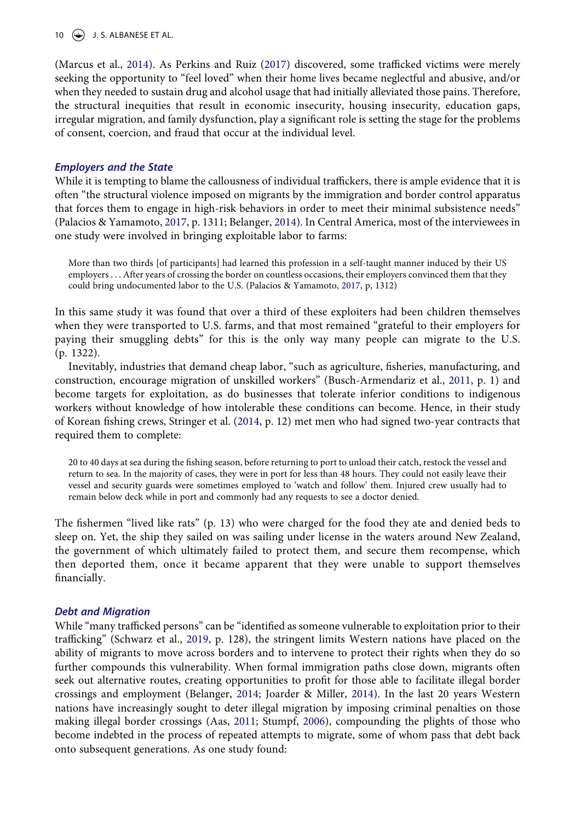10  $\left(\rightarrow\right)$  J. S. ALBANESE ET AL.

(Marcus et al., [2014](#page-13-4)). As Perkins and Ruiz ([2017](#page-13-10)) discovered, some trafficked victims were merely seeking the opportunity to "feel loved" when their home lives became neglectful and abusive, and/or when they needed to sustain drug and alcohol usage that had initially alleviated those pains. Therefore, the structural inequities that result in economic insecurity, housing insecurity, education gaps, irregular migration, and family dysfunction, play a significant role is setting the stage for the problems of consent, coercion, and fraud that occur at the individual level.

### *Employers and the State*

While it is tempting to blame the callousness of individual traffickers, there is ample evidence that it is often "the structural violence imposed on migrants by the immigration and border control apparatus that forces them to engage in high-risk behaviors in order to meet their minimal subsistence needs" (Palacios & Yamamoto, [2017,](#page-13-17) p. 1311; Belanger, [2014\)](#page-12-4). In Central America, most of the interviewees in one study were involved in bringing exploitable labor to farms:

More than two thirds [of participants] had learned this profession in a self-taught manner induced by their US employers . . . After years of crossing the border on countless occasions, their employers convinced them that they could bring undocumented labor to the U.S. (Palacios & Yamamoto, [2017,](#page-13-17) p, 1312)

In this same study it was found that over a third of these exploiters had been children themselves when they were transported to U.S. farms, and that most remained "grateful to their employers for paying their smuggling debts" for this is the only way many people can migrate to the U.S. (p. 1322).

Inevitably, industries that demand cheap labor, "such as agriculture, fisheries, manufacturing, and construction, encourage migration of unskilled workers" (Busch-Armendariz et al., [2011,](#page-12-7) p. 1) and become targets for exploitation, as do businesses that tolerate inferior conditions to indigenous workers without knowledge of how intolerable these conditions can become. Hence, in their study of Korean fishing crews, Stringer et al. [\(2014](#page-13-20), p. 12) met men who had signed two-year contracts that required them to complete:

<span id="page-10-1"></span>20 to 40 days at sea during the fishing season, before returning to port to unload their catch, restock the vessel and return to sea. In the majority of cases, they were in port for less than 48 hours. They could not easily leave their vessel and security guards were sometimes employed to 'watch and follow' them. Injured crew usually had to remain below deck while in port and commonly had any requests to see a doctor denied.

The fishermen "lived like rats" (p. 13) who were charged for the food they ate and denied beds to sleep on. Yet, the ship they sailed on was sailing under license in the waters around New Zealand, the government of which ultimately failed to protect them, and secure them recompense, which then deported them, once it became apparent that they were unable to support themselves financially.

### *Debt and Migration*

<span id="page-10-0"></span>While "many trafficked persons" can be "identified as someone vulnerable to exploitation prior to their trafficking" (Schwarz et al., [2019,](#page-13-18) p. 128), the stringent limits Western nations have placed on the ability of migrants to move across borders and to intervene to protect their rights when they do so further compounds this vulnerability. When formal immigration paths close down, migrants often seek out alternative routes, creating opportunities to profit for those able to facilitate illegal border crossings and employment (Belanger, [2014;](#page-12-4) Joarder & Miller, [2014](#page-13-6)). In the last 20 years Western nations have increasingly sought to deter illegal migration by imposing criminal penalties on those making illegal border crossings (Aas, [2011](#page-12-15); Stumpf, [2006\)](#page-13-21), compounding the plights of those who become indebted in the process of repeated attempts to migrate, some of whom pass that debt back onto subsequent generations. As one study found: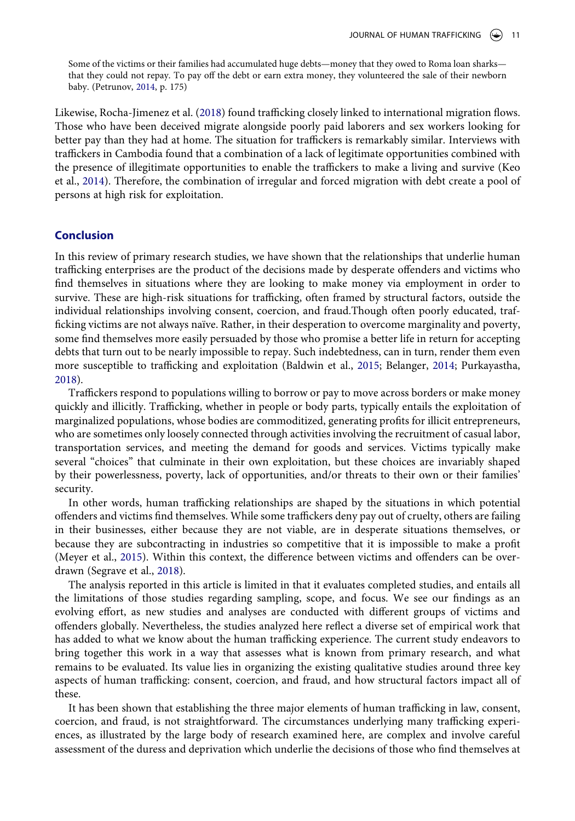Some of the victims or their families had accumulated huge debts—money that they owed to Roma loan sharks that they could not repay. To pay off the debt or earn extra money, they volunteered the sale of their newborn baby. (Petrunov, [2014,](#page-13-12) p. 175)

Likewise, Rocha-Jimenez et al. ([2018](#page-13-8)) found trafficking closely linked to international migration flows. Those who have been deceived migrate alongside poorly paid laborers and sex workers looking for better pay than they had at home. The situation for traffickers is remarkably similar. Interviews with traffickers in Cambodia found that a combination of a lack of legitimate opportunities combined with the presence of illegitimate opportunities to enable the traffickers to make a living and survive (Keo et al., [2014\)](#page-13-9). Therefore, the combination of irregular and forced migration with debt create a pool of persons at high risk for exploitation.

### **Conclusion**

In this review of primary research studies, we have shown that the relationships that underlie human trafficking enterprises are the product of the decisions made by desperate offenders and victims who find themselves in situations where they are looking to make money via employment in order to survive. These are high-risk situations for trafficking, often framed by structural factors, outside the individual relationships involving consent, coercion, and fraud.Though often poorly educated, trafficking victims are not always naïve. Rather, in their desperation to overcome marginality and poverty, some find themselves more easily persuaded by those who promise a better life in return for accepting debts that turn out to be nearly impossible to repay. Such indebtedness, can in turn, render them even more susceptible to trafficking and exploitation (Baldwin et al., [2015](#page-12-10); Belanger, [2014](#page-12-4); Purkayastha, [2018](#page-13-22)).

<span id="page-11-0"></span>Traffickers respond to populations willing to borrow or pay to move across borders or make money quickly and illicitly. Trafficking, whether in people or body parts, typically entails the exploitation of marginalized populations, whose bodies are commoditized, generating profits for illicit entrepreneurs, who are sometimes only loosely connected through activities involving the recruitment of casual labor, transportation services, and meeting the demand for goods and services. Victims typically make several "choices" that culminate in their own exploitation, but these choices are invariably shaped by their powerlessness, poverty, lack of opportunities, and/or threats to their own or their families' security.

In other words, human trafficking relationships are shaped by the situations in which potential offenders and victims find themselves. While some traffickers deny pay out of cruelty, others are failing in their businesses, either because they are not viable, are in desperate situations themselves, or because they are subcontracting in industries so competitive that it is impossible to make a profit (Meyer et al., [2015\)](#page-13-14). Within this context, the difference between victims and offenders can be overdrawn (Segrave et al., [2018\)](#page-13-23).

<span id="page-11-1"></span>The analysis reported in this article is limited in that it evaluates completed studies, and entails all the limitations of those studies regarding sampling, scope, and focus. We see our findings as an evolving effort, as new studies and analyses are conducted with different groups of victims and offenders globally. Nevertheless, the studies analyzed here reflect a diverse set of empirical work that has added to what we know about the human trafficking experience. The current study endeavors to bring together this work in a way that assesses what is known from primary research, and what remains to be evaluated. Its value lies in organizing the existing qualitative studies around three key aspects of human trafficking: consent, coercion, and fraud, and how structural factors impact all of these.

It has been shown that establishing the three major elements of human trafficking in law, consent, coercion, and fraud, is not straightforward. The circumstances underlying many trafficking experiences, as illustrated by the large body of research examined here, are complex and involve careful assessment of the duress and deprivation which underlie the decisions of those who find themselves at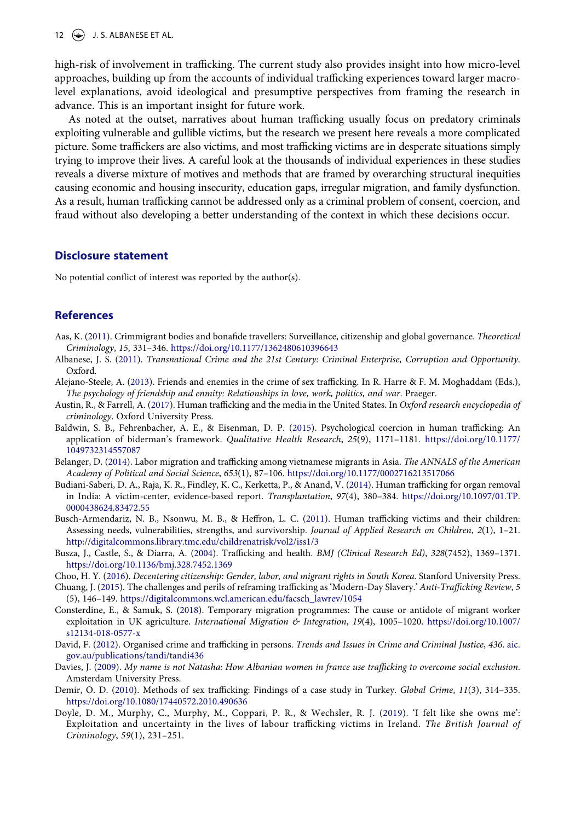### 12  $\left(\bigstar\right)$  J. S. ALBANESE ET AL.

high-risk of involvement in trafficking. The current study also provides insight into how micro-level approaches, building up from the accounts of individual trafficking experiences toward larger macrolevel explanations, avoid ideological and presumptive perspectives from framing the research in advance. This is an important insight for future work.

As noted at the outset, narratives about human trafficking usually focus on predatory criminals exploiting vulnerable and gullible victims, but the research we present here reveals a more complicated picture. Some traffickers are also victims, and most trafficking victims are in desperate situations simply trying to improve their lives. A careful look at the thousands of individual experiences in these studies reveals a diverse mixture of motives and methods that are framed by overarching structural inequities causing economic and housing insecurity, education gaps, irregular migration, and family dysfunction. As a result, human trafficking cannot be addressed only as a criminal problem of consent, coercion, and fraud without also developing a better understanding of the context in which these decisions occur.

### **Disclosure statement**

No potential conflict of interest was reported by the author(s).

### **References**

- <span id="page-12-15"></span>Aas, K. [\(2011](#page-10-0)). Crimmigrant bodies and bonafide travellers: Surveillance, citizenship and global governance. *Theoretical Criminology*, *15*, 331–346. <https://doi.org/10.1177/1362480610396643>
- <span id="page-12-0"></span>Albanese, J. S. ([2011](#page-2-0)). *Transnational Crime and the 21st Century: Criminal Enterprise, Corruption and Opportunity*. Oxford.
- <span id="page-12-8"></span>Alejano-Steele, A. [\(2013\)](#page-5-0). Friends and enemies in the crime of sex trafficking. In R. Harre & F. M. Moghaddam (Eds.), *The psychology of friendship and enmity: Relationships in love, work, politics, and war*. Praeger.
- <span id="page-12-3"></span>Austin, R., & Farrell, A. [\(2017\)](#page-2-1). Human trafficking and the media in the United States. In *Oxford research encyclopedia of criminology*. Oxford University Press.
- <span id="page-12-10"></span>Baldwin, S. B., Fehrenbacher, A. E., & Eisenman, D. P. [\(2015\)](#page-5-1). Psychological coercion in human trafficking: An application of biderman's framework. *Qualitative Health Research*, *25*(9), 1171–1181. [https://doi.org/10.1177/](https://doi.org/10.1177/1049732314557087) [1049732314557087](https://doi.org/10.1177/1049732314557087)
- <span id="page-12-4"></span>Belanger, D. ([2014](#page-2-2)). Labor migration and trafficking among vietnamese migrants in Asia. *The ANNALS of the American Academy of Political and Social Science*, *653*(1), 87–106. <https://doi.org/10.1177/0002716213517066>
- <span id="page-12-13"></span>Budiani-Saberi, D. A., Raja, K. R., Findley, K. C., Kerketta, P., & Anand, V. [\(2014](#page-7-0)). Human trafficking for organ removal in India: A victim-center, evidence-based report. *Transplantation*, *97*(4), 380–384. [https://doi.org/10.1097/01.TP.](https://doi.org/10.1097/01.TP.0000438624.83472.55)  [0000438624.83472.55](https://doi.org/10.1097/01.TP.0000438624.83472.55)
- <span id="page-12-7"></span>Busch-Armendariz, N. B., Nsonwu, M. B., & Heffron, L. C. [\(2011\)](#page-4-0). Human trafficking victims and their children: Assessing needs, vulnerabilities, strengths, and survivorship. *Journal of Applied Research on Children*, *2*(1), 1–21. <http://digitalcommons.library.tmc.edu/childrenatrisk/vol2/iss1/3>
- <span id="page-12-11"></span>Busza, J., Castle, S., & Diarra, A. [\(2004](#page-5-2)). Trafficking and health. *BMJ (Clinical Research Ed)*, *328*(7452), 1369–1371. <https://doi.org/10.1136/bmj.328.7452.1369>
- <span id="page-12-1"></span>Choo, H. Y. [\(2016\)](#page-2-3). *Decentering citizenship: Gender, labor, and migrant rights in South Korea*. Stanford University Press.
- <span id="page-12-5"></span>Chuang, J. [\(2015\)](#page-2-4). The challenges and perils of reframing trafficking as 'Modern-Day Slavery.' *Anti-Trafficking Review*, *5*  (5), 146–149. [https://digitalcommons.wcl.american.edu/facsch\\_lawrev/1054](https://digitalcommons.wcl.american.edu/facsch_lawrev/1054)
- <span id="page-12-14"></span>Consterdine, E., & Samuk, S. ([2018\)](#page-8-0). Temporary migration programmes: The cause or antidote of migrant worker exploitation in UK agriculture. *International Migration & Integration*, *19*(4), 1005–1020. [https://doi.org/10.1007/](https://doi.org/10.1007/s12134-018-0577-x)  [s12134-018-0577-x](https://doi.org/10.1007/s12134-018-0577-x)
- <span id="page-12-2"></span>David, F. [\(2012\)](#page-2-3). Organised crime and trafficking in persons. *Trends and Issues in Crime and Criminal Justice*, *436*. [aic.](http://aic.gov.au/publications/tandi/tandi436) [gov.au/publications/tandi/tandi436](http://aic.gov.au/publications/tandi/tandi436)
- <span id="page-12-9"></span>Davies, J. [\(2009\)](#page-5-0). *My name is not Natasha: How Albanian women in france use trafficking to overcome social exclusion*. Amsterdam University Press.
- <span id="page-12-6"></span>Demir, O. D. ([2010](#page-4-1)). Methods of sex trafficking: Findings of a case study in Turkey. *Global Crime*, *11*(3), 314–335. <https://doi.org/10.1080/17440572.2010.490636>
- <span id="page-12-12"></span>Doyle, D. M., Murphy, C., Murphy, M., Coppari, P. R., & Wechsler, R. J. ([2019\)](#page-6-0). 'I felt like she owns me': Exploitation and uncertainty in the lives of labour trafficking victims in Ireland. *The British Journal of Criminology*, *59*(1), 231–251.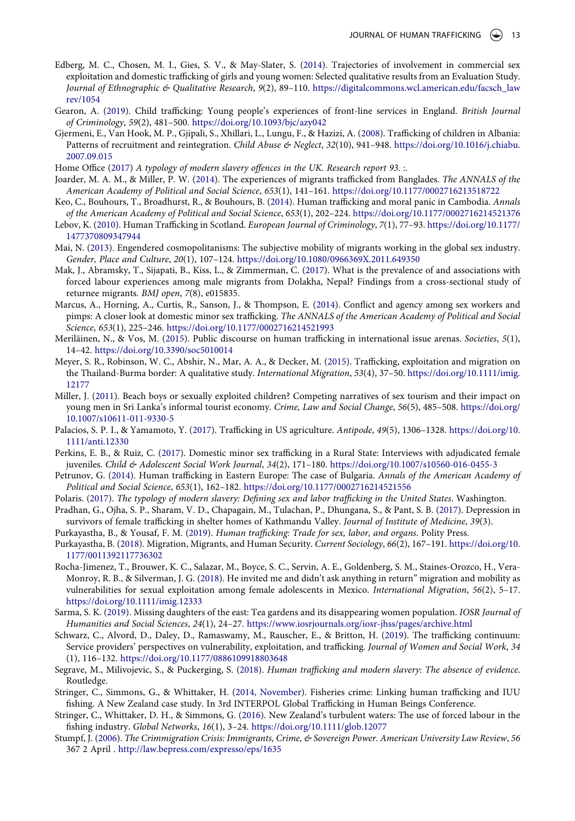- <span id="page-13-11"></span>Edberg, M. C., Chosen, M. I., Gies, S. V., & May-Slater, S. ([2014](#page-4-0)). Trajectories of involvement in commercial sex exploitation and domestic trafficking of girls and young women: Selected qualitative results from an Evaluation Study. *Journal of Ethnographic & Qualitative Research*, *9*(2), 89–110. [https://digitalcommons.wcl.american.edu/facsch\\_law](https://digitalcommons.wcl.american.edu/facsch_lawrev/1054)  [rev/1054](https://digitalcommons.wcl.american.edu/facsch_lawrev/1054)
- <span id="page-13-15"></span>Gearon, A. ([2019\)](#page-6-1). Child trafficking: Young people's experiences of front-line services in England. *British Journal of Criminology*, *59*(2), 481–500. <https://doi.org/10.1093/bjc/azy042>
- <span id="page-13-16"></span>Gjermeni, E., Van Hook, M. P., Gjipali, S., Xhillari, L., Lungu, F., & Hazizi, A. ([2008\)](#page-7-1). Trafficking of children in Albania: Patterns of recruitment and reintegration. *Child Abuse & Neglect*, *32*(10), 941–948. [https://doi.org/10.1016/j.chiabu.](https://doi.org/10.1016/j.chiabu.2007.09.015)  [2007.09.015](https://doi.org/10.1016/j.chiabu.2007.09.015)
- <span id="page-13-2"></span>Home Office [\(2017\)](#page-2-5) *A typology of modern slavery offences in the UK. Research report 93*. :.
- <span id="page-13-6"></span>Joarder, M. A. M., & Miller, P. W. ([2014\)](#page-3-0). The experiences of migrants trafficked from Banglades. *The ANNALS of the American Academy of Political and Social Science*, *653*(1), 141–161. <https://doi.org/10.1177/0002716213518722>
- <span id="page-13-9"></span>Keo, C., Bouhours, T., Broadhurst, R., & Bouhours, B. [\(2014](#page-4-2)). Human trafficking and moral panic in Cambodia. *Annals of the American Academy of Political and Social Science*, *653*(1), 202–224.<https://doi.org/10.1177/0002716214521376>
- <span id="page-13-13"></span>Lebov, K. ([2010](#page-5-3)). Human Trafficking in Scotland. *European Journal of Criminology*, *7*(1), 77–93. [https://doi.org/10.1177/](https://doi.org/10.1177/1477370809347944)  [1477370809347944](https://doi.org/10.1177/1477370809347944)
- <span id="page-13-7"></span>Mai, N. [\(2013\)](#page-3-0). Engendered cosmopolitanisms: The subjective mobility of migrants working in the global sex industry. *Gender, Place and Culture*, *20*(1), 107–124. <https://doi.org/10.1080/0966369X.2011.649350>
- <span id="page-13-24"></span>Mak, J., Abramsky, T., Sijapati, B., Kiss, L., & Zimmerman, C. ([2017](#page-17-0)). What is the prevalence of and associations with forced labour experiences among male migrants from Dolakha, Nepal? Findings from a cross-sectional study of returnee migrants. *BMJ open*, *7*(8), e015835.
- <span id="page-13-4"></span>Marcus, A., Horning, A., Curtis, R., Sanson, J., & Thompson, E. [\(2014\)](#page-3-1). Conflict and agency among sex workers and pimps: A closer look at domestic minor sex trafficking. *The ANNALS of the American Academy of Political and Social Science*, *653*(1), 225–246. <https://doi.org/10.1177/0002716214521993>
- <span id="page-13-0"></span>Meriläinen, N., & Vos, M. [\(2015](#page-2-6)). Public discourse on human trafficking in international issue arenas. *Societies*, *5*(1), 14–42. <https://doi.org/10.3390/soc5010014>
- <span id="page-13-14"></span>Meyer, S. R., Robinson, W. C., Abshir, N., Mar, A. A., & Decker, M. [\(2015\)](#page-6-2). Trafficking, exploitation and migration on the Thailand-Burma border: A qualitative study. *International Migration*, *53*(4), 37–50. [https://doi.org/10.1111/imig.](https://doi.org/10.1111/imig.12177) [12177](https://doi.org/10.1111/imig.12177)
- <span id="page-13-5"></span>Miller, J. ([2011\)](#page-3-1). Beach boys or sexually exploited children? Competing narratives of sex tourism and their impact on young men in Sri Lanka's informal tourist economy. *Crime, Law and Social Change*, *56*(5), 485–508. [https://doi.org/](https://doi.org/10.1007/s10611-011-9330-5) [10.1007/s10611-011-9330-5](https://doi.org/10.1007/s10611-011-9330-5)
- <span id="page-13-17"></span>Palacios, S. P. I., & Yamamoto, Y. ([2017](#page-8-1)). Trafficking in US agriculture. *Antipode*, *49*(5), 1306–1328. [https://doi.org/10.](https://doi.org/10.1111/anti.12330) [1111/anti.12330](https://doi.org/10.1111/anti.12330)
- <span id="page-13-10"></span>Perkins, E. B., & Ruiz, C. ([2017\)](#page-4-3). Domestic minor sex trafficking in a Rural State: Interviews with adjudicated female juveniles. *Child & Adolescent Social Work Journal*, *34*(2), 171–180. <https://doi.org/10.1007/s10560-016-0455-3>
- <span id="page-13-12"></span>Petrunov, G. ([2014](#page-5-4)). Human trafficking in Eastern Europe: The case of Bulgaria. *Annals of the American Academy of Political and Social Science*, *653*(1), 162–182. <https://doi.org/10.1177/0002716214521556>
- <span id="page-13-3"></span>Polaris. ([2017](#page-2-7)). *The typology of modern slavery: Defining sex and labor trafficking in the United States*. Washington.
- <span id="page-13-25"></span>Pradhan, G., Ojha, S. P., Sharam, V. D., Chapagain, M., Tulachan, P., Dhungana, S., & Pant, S. B. [\(2017](#page-19-0)). Depression in survivors of female trafficking in shelter homes of Kathmandu Valley. *Journal of Institute of Medicine*, *39*(3).
- <span id="page-13-1"></span>Purkayastha, B., & Yousaf, F. M. ([2019\)](#page-2-8). *Human trafficking: Trade for sex, labor, and organs*. Polity Press.
- <span id="page-13-22"></span>Purkayastha, B. ([2018\)](#page-11-0). Migration, Migrants, and Human Security. *Current Sociology*, *66*(2), 167–191. [https://doi.org/10.](https://doi.org/10.1177/0011392117736302) [1177/0011392117736302](https://doi.org/10.1177/0011392117736302)
- <span id="page-13-8"></span>Rocha-Jimenez, T., Brouwer, K. C., Salazar, M., Boyce, S. C., Servin, A. E., Goldenberg, S. M., Staines-Orozco, H., Vera-Monroy, R. B., & Silverman, J. G. ([2018](#page-3-2)). He invited me and didn't ask anything in return" migration and mobility as vulnerabilities for sexual exploitation among female adolescents in Mexico. *International Migration*, *56*(2), 5–17. <https://doi.org/10.1111/imig.12333>
- <span id="page-13-19"></span>Sarma, S. K. ([2019](#page-8-2)). Missing daughters of the east: Tea gardens and its disappearing women population. *IOSR Journal of Humanities and Social Sciences*, *24*(1), 24–27.<https://www.iosrjournals.org/iosr-jhss/pages/archive.html>
- <span id="page-13-18"></span>Schwarz, C., Alvord, D., Daley, D., Ramaswamy, M., Rauscher, E., & Britton, H. [\(2019\)](#page-8-3). The trafficking continuum: Service providers' perspectives on vulnerability, exploitation, and trafficking. *Journal of Women and Social Work*, *34*  (1), 116–132. <https://doi.org/10.1177/0886109918803648>
- <span id="page-13-23"></span>Segrave, M., Milivojevic, S., & Puckerging, S. [\(2018\)](#page-11-1). *Human trafficking and modern slavery: The absence of evidence*. Routledge.
- <span id="page-13-20"></span>Stringer, C., Simmons, G., & Whittaker, H. ([2014, November](#page-10-1)). Fisheries crime: Linking human trafficking and IUU fishing. A New Zealand case study. In 3rd INTERPOL Global Trafficking in Human Beings Conference.
- <span id="page-13-26"></span>Stringer, C., Whittaker, D. H., & Simmons, G. [\(2016](#page-19-1)). New Zealand's turbulent waters: The use of forced labour in the fishing industry. *Global Networks*, *16*(1), 3–24. <https://doi.org/10.1111/glob.12077>
- <span id="page-13-21"></span>Stumpf, J. [\(2006](#page-10-0)). *The Crimmigration Crisis: Immigrants, Crime, & Sovereign Power*. *American University Law Review*, *56*  367 2 April . <http://law.bepress.com/expresso/eps/1635>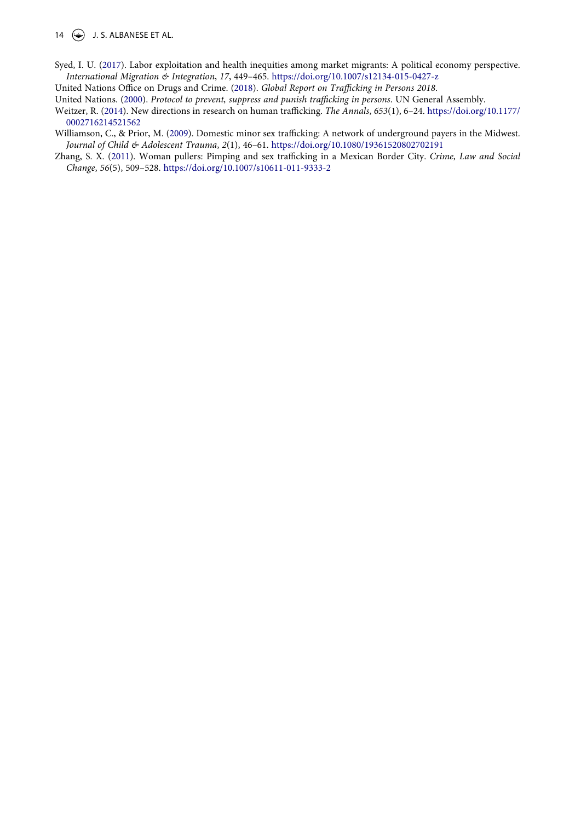14  $\leftrightarrow$  J. S. ALBANESE ET AL.

<span id="page-14-5"></span>Syed, I. U. ([2017](#page-8-0)). Labor exploitation and health inequities among market migrants: A political economy perspective. *International Migration & Integration*, *17*, 449–465. <https://doi.org/10.1007/s12134-015-0427-z>

<span id="page-14-1"></span>United Nations Office on Drugs and Crime. [\(2018\)](#page-2-5). *Global Report on Trafficking in Persons 2018*.

<span id="page-14-0"></span>United Nations. ([2000\)](#page-1-2). *Protocol to prevent, suppress and punish trafficking in persons*. UN General Assembly.

- <span id="page-14-2"></span>Weitzer, R. [\(2014\)](#page-2-9). New directions in research on human trafficking. *The Annals*, *653*(1), 6–24. [https://doi.org/10.1177/](https://doi.org/10.1177/0002716214521562)  [0002716214521562](https://doi.org/10.1177/0002716214521562)
- <span id="page-14-3"></span>Williamson, C., & Prior, M. ([2009\)](#page-3-1). Domestic minor sex trafficking: A network of underground payers in the Midwest. *Journal of Child & Adolescent Trauma*, *2*(1), 46–61. <https://doi.org/10.1080/19361520802702191>
- <span id="page-14-4"></span>Zhang, S. X. ([2011\)](#page-4-4). Woman pullers: Pimping and sex trafficking in a Mexican Border City. *Crime, Law and Social Change*, *56*(5), 509–528. <https://doi.org/10.1007/s10611-011-9333-2>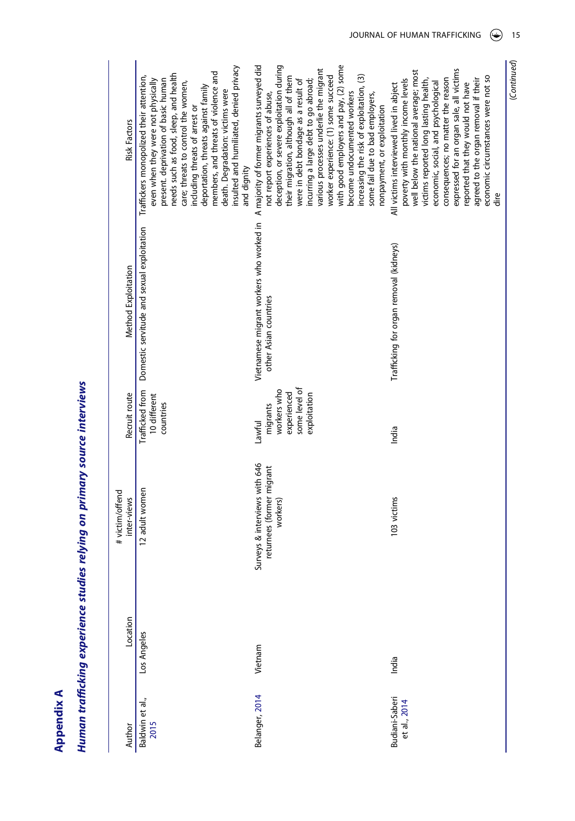**Appendix A Appendix A**

# Human trafficking experience studies relying on primary source interviews *Human trafficking experience studies relying on primary source interviews*

| <b>Risk Factors</b>            | insulted and humiliated, denied privacy<br>members, and threats of violence and<br>needs such as food, sleep, and health<br>Traffickers monopolized their attention,<br>even when they were not physically<br>present. deprivation of basic human<br>care; threats to control the women,<br>deportation, threats against family<br>death. Degradation: victims were<br>including threats of arrest or<br>and dignity | Vietnamese migrant workers who worked in Amajority of former migrants surveyed did<br>with good employers and pay, (2) some<br>deception, or severe exploitation during<br>various processes underlie the migrant<br>worker experience: (1) some succeed<br>increasing the risk of exploitation, (3)<br>their migration, although all of them<br>incurring a large debt to go abroad;<br>were in debt bondage as a result of<br>become undocumented workers<br>not report experiences of abuse,<br>some fail due to bad employers,<br>nonpayment, or exploitation | expressed for an organ sale, all victims<br>well below the national average; most<br>economic circumstances were not so<br>poverty with monthly income levels<br>consequences; no matter the reason<br>victims reported long lasting health,<br>agreed to the organ removal if their<br>economic, social, and psychological<br>reported that they would not have<br>All victims interviewed lived in abject<br>dire |
|--------------------------------|----------------------------------------------------------------------------------------------------------------------------------------------------------------------------------------------------------------------------------------------------------------------------------------------------------------------------------------------------------------------------------------------------------------------|-------------------------------------------------------------------------------------------------------------------------------------------------------------------------------------------------------------------------------------------------------------------------------------------------------------------------------------------------------------------------------------------------------------------------------------------------------------------------------------------------------------------------------------------------------------------|---------------------------------------------------------------------------------------------------------------------------------------------------------------------------------------------------------------------------------------------------------------------------------------------------------------------------------------------------------------------------------------------------------------------|
| Method Exploitation            | Domestic servitude and sexual exploitation                                                                                                                                                                                                                                                                                                                                                                           | other Asian countries                                                                                                                                                                                                                                                                                                                                                                                                                                                                                                                                             | Trafficking for organ removal (kidneys)                                                                                                                                                                                                                                                                                                                                                                             |
| Recruit route                  | Trafficked from<br>10 different<br>countries                                                                                                                                                                                                                                                                                                                                                                         | some level of<br>workers who<br>experienced<br>exploitation<br>migrants<br>Lawful                                                                                                                                                                                                                                                                                                                                                                                                                                                                                 | India                                                                                                                                                                                                                                                                                                                                                                                                               |
| # victim/offend<br>inter-views | 12 adult women                                                                                                                                                                                                                                                                                                                                                                                                       | Surveys & interviews with 646<br>returnees (former migrant<br>workers)                                                                                                                                                                                                                                                                                                                                                                                                                                                                                            | 103 victims                                                                                                                                                                                                                                                                                                                                                                                                         |
| Location                       | Los Angeles                                                                                                                                                                                                                                                                                                                                                                                                          | Vietnam                                                                                                                                                                                                                                                                                                                                                                                                                                                                                                                                                           | India                                                                                                                                                                                                                                                                                                                                                                                                               |
| Author                         | Baldwin et al.,<br>2015                                                                                                                                                                                                                                                                                                                                                                                              | Belanger, 2014                                                                                                                                                                                                                                                                                                                                                                                                                                                                                                                                                    | Budiani-Saberi<br>et al., 2014                                                                                                                                                                                                                                                                                                                                                                                      |

(*Continued*)

(Continued)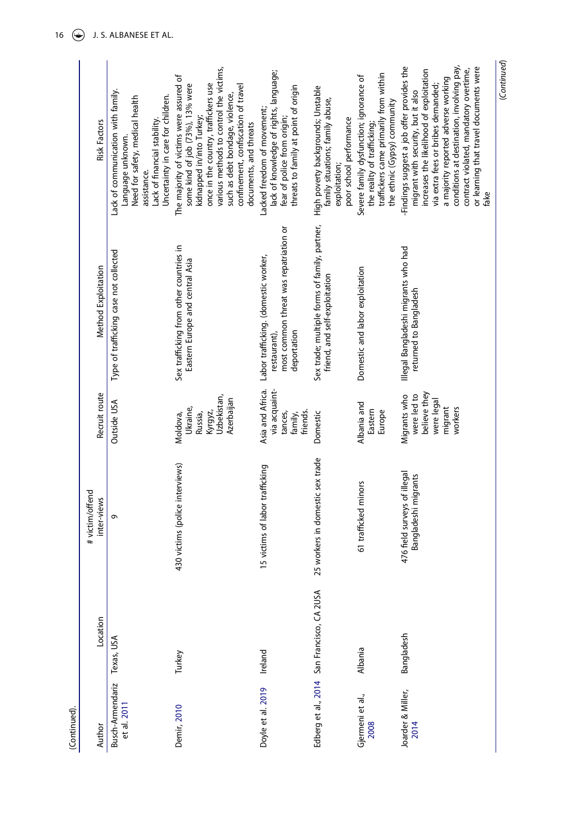| (Continued).                    |                                            |                                                      |                                                                                 |                                                                                                               |                                                                                                                                                                                                                                                                                                                                                    |
|---------------------------------|--------------------------------------------|------------------------------------------------------|---------------------------------------------------------------------------------|---------------------------------------------------------------------------------------------------------------|----------------------------------------------------------------------------------------------------------------------------------------------------------------------------------------------------------------------------------------------------------------------------------------------------------------------------------------------------|
| Author                          | Location                                   | # victim/offend<br>inter-views                       | Recruit route                                                                   | Method Exploitation                                                                                           | <b>Risk Factors</b>                                                                                                                                                                                                                                                                                                                                |
| Busch-Armendariz<br>et al. 2011 | Texas, USA                                 | Q                                                    | Outside USA                                                                     | Type of trafficking case not collected                                                                        | Lack of communication with family.<br>Uncertainty in care for children.<br>Need for safety, medical health<br>Lack of financial stability.<br>Language unknown.<br>assistance.                                                                                                                                                                     |
| Demir, 2010                     | Turkey                                     | 30 victims (police interviews)                       | Uzbekistan,<br>Azerbaijan<br>Ukraine,<br>Kyrgyz,<br>Russia,<br>Moldova,         | Sex trafficking from other countries in<br>Eastern Europe and central Asia                                    | various methods to control the victims,<br>The majority of victims were assured of<br>once in the country, traffickers use<br>some kind of job (73%), 13% were<br>confinement, confiscation of travel<br>such as debt bondage, violence,<br>kidnapped in/into Turkey;<br>documents, and threats                                                    |
| Doyle et al. 2019               | Ireland                                    | 5 victims of labor trafficking                       | Asia and Africa.<br>via acquaint-<br>friends.<br>tances,<br>family,             | most common threat was repatriation or<br>Labor trafficking. (domestic worker,<br>deportation<br>restaurant), | lack of knowledge of rights, language;<br>threats to family at point of origin<br>Lacked freedom of movement;<br>fear of police from origin;                                                                                                                                                                                                       |
|                                 | Edberg et al., 2014 San Francisco, CA 2USA | 25 workers in domestic sex trade                     | Domestic                                                                        | Sex trade; multiple forms of family, partner,<br>friend, and self-exploitation                                | High poverty backgrounds; Unstable<br>family situations; family abuse,<br>poor school performance<br>exploitation;                                                                                                                                                                                                                                 |
| Gjermeni et al.,<br>2008        | Albania                                    | 61 trafficked minors                                 | Albania and<br>Eastern<br>Europe                                                | Domestic and labor exploitation                                                                               | traffickers came primarily from within<br>Severe family dysfunction; ignorance of<br>the ethnic (Gypsy) community<br>the reality of trafficking;                                                                                                                                                                                                   |
| Joarder & Miller,<br>2014       | Bangladesh                                 | 476 field surveys of illegal<br>Bangladeshi migrants | believe they<br>were led to<br>Migrants who<br>were legal<br>migrant<br>workers | Illegal Bangladeshi migrants who had<br>returned to Bangladesh                                                | conditions at destination, involving pay,<br>-Findings suggest a job offer provides the<br>or learning that travel documents were<br>contract violated, mandatory overtime,<br>increases the likelihood of exploitation<br>a majority reported adverse working<br>via extra fees or bribes demanded;<br>migrant with security, but it also<br>fake |

(*Continued*)

(Continued)

16  $\bigcirc$  J. S. ALBANESE ET AL.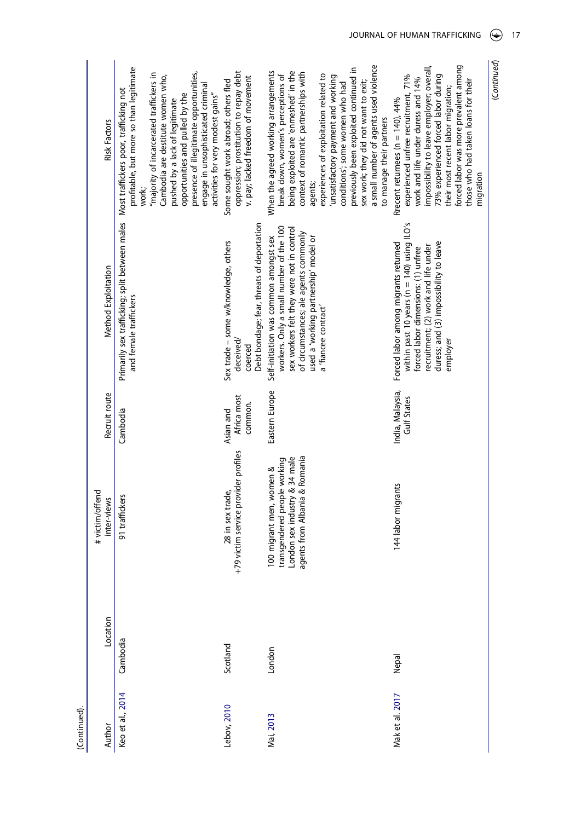<span id="page-17-0"></span>

| (Continued).     |          |                                                                                                                            |                                        |                                                                                                                                                                                                                                  |                                                                                                                                                                                                                                                                                                                                             |
|------------------|----------|----------------------------------------------------------------------------------------------------------------------------|----------------------------------------|----------------------------------------------------------------------------------------------------------------------------------------------------------------------------------------------------------------------------------|---------------------------------------------------------------------------------------------------------------------------------------------------------------------------------------------------------------------------------------------------------------------------------------------------------------------------------------------|
| Author           | Location | # victim/offend<br>inter-views                                                                                             | Recruit route                          | Method Exploitation                                                                                                                                                                                                              | <b>Risk Factors</b>                                                                                                                                                                                                                                                                                                                         |
| Keo et al., 2014 | Cambodia | 91 traffickers                                                                                                             | Cambodia                               | Primarily sex trafficking; split between males<br>and female traffickers                                                                                                                                                         | profitable, but more so than legitimate<br>"majority of incarcerated traffickers in<br>Cambodia are destitute women who,<br>Most traffickers poor, trafficking not<br>opportunities and pulled by the<br>pushed by a lack of legitimate<br>work;                                                                                            |
| Lebov, 2010      | Scotland | +79 victim service provider profiles<br>28 in sex trade,                                                                   | Africa most<br>Asian and               | Sex trade - some w/knowledge, others<br>deceived/                                                                                                                                                                                | oppression; prostitution to repay debt<br>presence of illegitimate opportunities,<br>Some sought work abroad; others fled<br>engage in unsophisticated criminal<br>activities for very modest gains"                                                                                                                                        |
| Mai, 2013        | London   | agents from Albania & Romania<br>London sex industry & 34 male<br>transgendered people working<br>100 migrant men, women & | Eastern Europe<br>common.              | Debt bondage; fear, threats of deportation<br>workers. Only a small number of the 100<br>sex workers felt they were not in control<br>of circumstances; ale agents commonly<br>Self-initiation was common amongst sex<br>coerced | When the agreed working arrangements<br>being exploited are 'enmeshed' in the<br>context of romantic partnerships with<br>break down, women's perceptions of<br>v. pay; lacked freedom of movement                                                                                                                                          |
|                  |          |                                                                                                                            |                                        | used a 'working partnership' model or<br>a 'fiancee contract'                                                                                                                                                                    | a small number of agents used violence<br>previously been exploited continued in<br>experiences of exploitation related to<br>unsatisfactory payment and working<br>sex work; they did not want to exit;<br>conditions'; some women who had<br>to manage their partners<br>agents;                                                          |
| Mak et al. 2017  | Nepal    | 144 labor migrants                                                                                                         | India, Malaysia,<br><b>Gulf States</b> | within past 10 years ( $n = 140$ ) using ILO's<br>duress; and (3) impossibility to leave<br>Forced labor among migrants returned<br>recruitment; (2) work and life under<br>forced labor dimensions: (1) unfree<br>employer      | forced labor was more prevalent among<br>impossibility to leave employer; overall,<br>73% experienced forced labor during<br>experienced unfree recruitment, 71%<br>work and life under duress and 14%<br>those who had taken loans for their<br>their most recent labor migration;<br>Rrecent returnees ( $n = 140$ ), $44\%$<br>migration |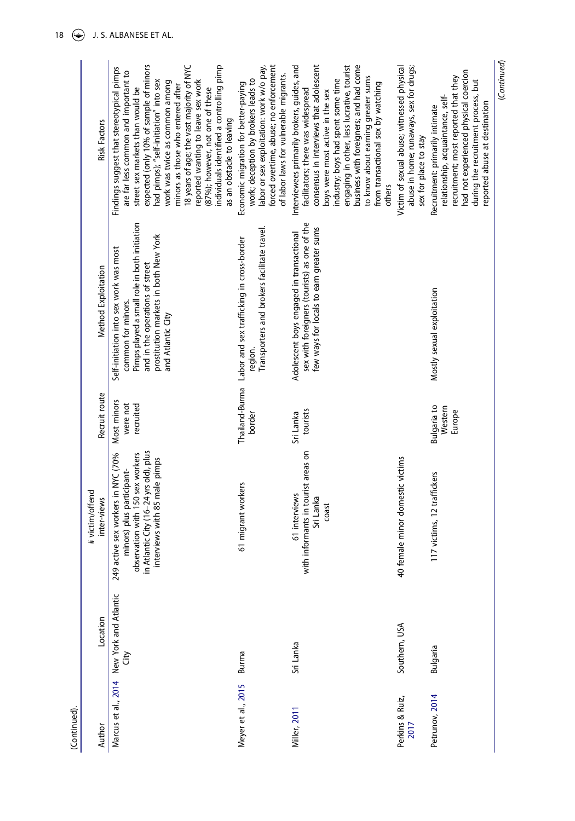| (Continued).            |                                           |                                                                                                                                                                                |                                         |                                                                                                                                                                                                               |                                                                                                                                                                                                                                                                                                                                                                                                                                                                                   |
|-------------------------|-------------------------------------------|--------------------------------------------------------------------------------------------------------------------------------------------------------------------------------|-----------------------------------------|---------------------------------------------------------------------------------------------------------------------------------------------------------------------------------------------------------------|-----------------------------------------------------------------------------------------------------------------------------------------------------------------------------------------------------------------------------------------------------------------------------------------------------------------------------------------------------------------------------------------------------------------------------------------------------------------------------------|
| Author                  | Location                                  | # victim/offend<br>inter-views                                                                                                                                                 | Recruit route                           | Method Exploitation                                                                                                                                                                                           | <b>Risk Factors</b>                                                                                                                                                                                                                                                                                                                                                                                                                                                               |
|                         | Marcus et al., 2014 New York and Atlantic | in Atlantic City (16-24 yrs old), plus<br>249 active sex workers in NYC (70%<br>observation with 150 sex workers<br>interviews with 85 male pimps<br>minors) plus participant- | Most minors<br>recruited<br>were not    | Pimps played a small role in both initiation<br>prostitution markets in both New York<br>Self-initiation into sex work was most<br>and in the operations of street<br>common for minors.<br>and Atlantic City | expected (only 10% of sample of minors<br>18 years of age; the vast majority of NYC<br>individuals identified a controlling pimp<br>Findings suggest that stereotypical pimps<br>are far less common and important to<br>had pimps); "self-initiation" into sex<br>reported wanting to leave sex work<br>work was twice as common among<br>minors as those who entered after<br>(87%); however, not one of these<br>street sex markets than would be<br>as an obstacle to leaving |
| Meyer et al., 2015      | Burma                                     | 61 migrant workers                                                                                                                                                             | border                                  | Transporters and brokers facilitate travel.<br>Thailand-Burma Labor and sex trafficking in cross-border<br>region.                                                                                            | labor or sex exploitation: work w/o pay,<br>forced overtime, abuse; no enforcement<br>of labor laws for vulnerable migrants.<br>work; deception by brokers leads to<br>Economic migration for better-paying                                                                                                                                                                                                                                                                       |
| <b>Miller, 2011</b>     | Sri Lanka                                 | with informants in tourist areas on<br>61 interviews<br>Sri Lanka<br>coast                                                                                                     | tourists<br>Sri Lanka                   | sex with foreigners (tourists) as one of the<br>few ways for locals to earn greater sums<br>Adolescent boys engaged in transactional                                                                          | Interviewees primarily brokers, guides, and<br>business with foreigners; and had come<br>consensus in interviews that adolescent<br>engaging in other, less lucrative, tourist<br>to know about earning greater sums<br>industry; boys had spent some time<br>from transactional sex by watching<br>facilitators; there was widespread<br>boys were most active in the sex<br>others                                                                                              |
| Perkins & Ruiz,<br>2017 | Southern, USA                             | 40 female minor domestic victims                                                                                                                                               |                                         |                                                                                                                                                                                                               | abuse in home; runaways, sex for drugs;<br>Victim of sexual abuse; witnessed physical<br>sex for place to stay                                                                                                                                                                                                                                                                                                                                                                    |
| Petrunov, 2014          | Bulgaria                                  | 117 victims, 12 traffickers                                                                                                                                                    | <b>Bulgaria</b> to<br>Western<br>Europe | Mostly sexual exploitation                                                                                                                                                                                    | had not experienced physical coercion<br>recruitment; most reported that they<br>during the recruitment process, but<br>relationship, acquaintance, self-<br>reported abuse at destination<br>Recruitment: primarily intimate                                                                                                                                                                                                                                                     |

(Continued) (*Continued*)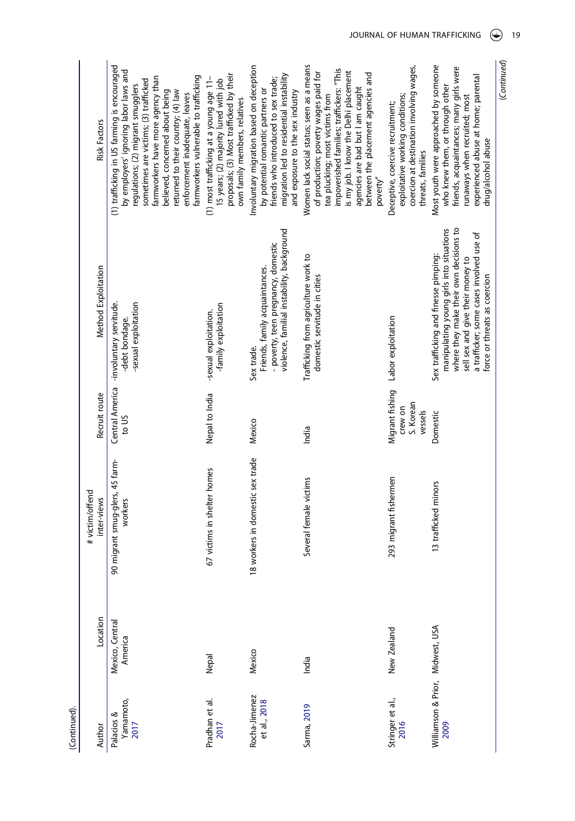<span id="page-19-0"></span>

| (Continued).                             |                            |                                            |                                                    |                                                                                                                                                                                                                                            |                                                                                                                                                                                                                                                                                                                                                              |
|------------------------------------------|----------------------------|--------------------------------------------|----------------------------------------------------|--------------------------------------------------------------------------------------------------------------------------------------------------------------------------------------------------------------------------------------------|--------------------------------------------------------------------------------------------------------------------------------------------------------------------------------------------------------------------------------------------------------------------------------------------------------------------------------------------------------------|
| Author                                   | Location                   | # victim/offend<br>inter-views             | Recruit route                                      | Method Exploitation                                                                                                                                                                                                                        | <b>Risk Factors</b>                                                                                                                                                                                                                                                                                                                                          |
| Yamamoto,<br>2017<br>Palacios &          | Mexico, Central<br>America | 90 migrant smug-glers, 45 farm-<br>workers | to US                                              | Central America -involuntary servitude.<br>-sexual exploitation<br>-debt bondage.                                                                                                                                                          | (1) trafficking in US farming is encouraged<br>by employers' ignoring labor laws and<br>farmworkers vulnerable to trafficking<br>farmworkers have more agency than<br>sometimes are victims; (3) trafficked<br>regulations; (2) migrant smugglers<br>believed, concerned about being<br>returned to their country; (4) law<br>enforcement inadequate, leaves |
| Pradhan et al.<br>2017                   | Nepal                      | 67 victims in shelter homes                | Nepal to India                                     | -family exploitation<br>-sexual exploitation.                                                                                                                                                                                              | proposals; (3) Most trafficked by their<br>(1) most trafficking at a young age 11-<br>15 years; (2) majority lured with job<br>own family members, relatives                                                                                                                                                                                                 |
| Rocha-Jimenez<br>et al., 2018            | Mexico                     | 18 workers in domestic sex trade           | Mexico                                             | violence, familial instability, background<br>- poverty, teen pregnancy, domestic<br>Friends, family acquaintances.<br>Sex trade.                                                                                                          | Involuntary migration based on deception<br>migration led to residential instability<br>friends who introduced to sex trade;<br>by potential romantic partners or<br>and exposure to the sex industry                                                                                                                                                        |
| Sarma, 2019                              | India                      | Several female victims                     | India                                              | Trafficking from agriculture work to<br>domestic servitude in cities                                                                                                                                                                       | Women lack social status; seen as a means<br>impoverished families; traffickers: "This<br>of production; poverty wages paid for<br>is my job. I know the Delhi placement<br>between the placement agencies and<br>agencies are bad but I am caught<br>tea plucking; most victims from<br>poverty"                                                            |
| Stringer et al.,<br>2016                 | New Zealand                | 293 migrant fishermen                      | Migrant fishing<br>S. Korean<br>crew on<br>vessels | Labor exploitation                                                                                                                                                                                                                         | coercion at destination involving wages,<br>exploitative working conditions;<br>Deceptive, coercive recruitment;<br>threats, families                                                                                                                                                                                                                        |
| Williamson & Prior, Midwest, USA<br>2009 |                            | 13 trafficked minors                       | Domestic                                           | where they make their own decisions to<br>manipulating young girls into situations<br>a trafficker; some cases involved use of<br>Sex trafficking and finesse pimping:<br>sell sex and give their money to<br>force or threats as coercion | Most youth were approached by someone<br>friends, acquaintances; many girls were<br>experienced abuse at home; parental<br>who knew them, or through other<br>runaways when recruited; most<br>drug/alcohol abuse                                                                                                                                            |

<span id="page-19-1"></span>(Continued) (*Continued*)